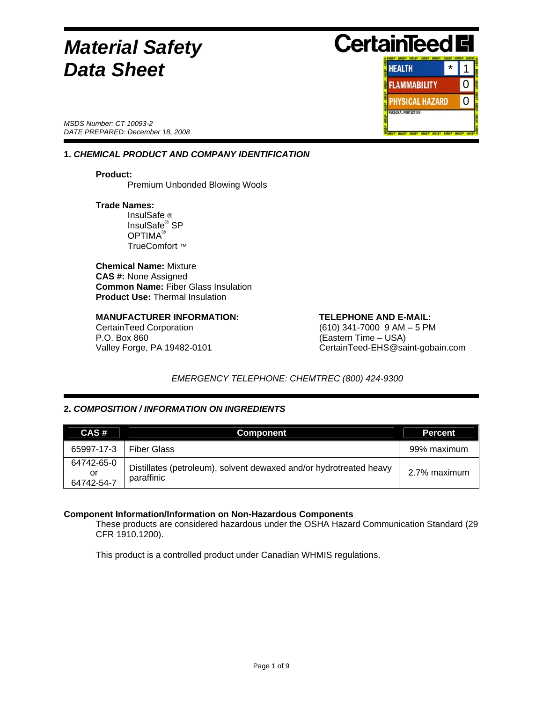# *Material Safety* *Data Sheet*

*MSDS Number: CT 10093-2 DATE PREPARED: December 18, 2008* 

# **1.** *CHEMICAL PRODUCT AND COMPANY IDENTIFICATION*

**Product: Premium Unbonded Blowing Wools** 

#### **Trade Names:**

 InsulSafe ® InsulSafe® SP OPTIMA® TrueComfort ™

**Chemical Name:** Mixture **CAS #:** None Assigned **Common Name:** Fiber Glass Insulation **Product Use: Thermal Insulation** 

# **MANUFACTURER INFORMATION: TELEPHONE AND E-MAIL:**

P.O. Box 860 (Eastern Time – USA)

CertainTeed Corporation (610) 341-7000 9 AM – 5 PM Valley Forge, PA 19482-0101 CertainTeed-EHS@saint-gobain.com

# *EMERGENCY TELEPHONE: CHEMTREC (800) 424-9300*

# **2.** *COMPOSITION / INFORMATION ON INGREDIENTS*

| CAS#                           | <b>Component</b>                                                                 | <b>Percent</b> |
|--------------------------------|----------------------------------------------------------------------------------|----------------|
| 65997-17-3                     | <b>Fiber Glass</b>                                                               | 99% maximum    |
| 64742-65-0<br>or<br>64742-54-7 | Distillates (petroleum), solvent dewaxed and/or hydrotreated heavy<br>paraffinic | 2.7% maximum   |

## **Component Information/Information on Non-Hazardous Components**

These products are considered hazardous under the OSHA Hazard Communication Standard (29 CFR 1910.1200).

This product is a controlled product under Canadian WHMIS regulations.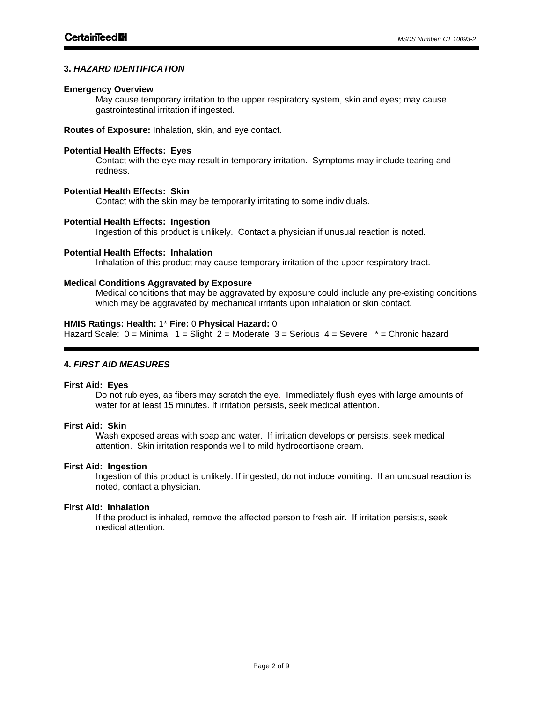# **3.** *HAZARD IDENTIFICATION*

#### **Emergency Overview**

May cause temporary irritation to the upper respiratory system, skin and eyes; may cause gastrointestinal irritation if ingested.

**Routes of Exposure:** Inhalation, skin, and eye contact.

## **Potential Health Effects: Eyes**

Contact with the eye may result in temporary irritation. Symptoms may include tearing and redness.

# **Potential Health Effects: Skin**

Contact with the skin may be temporarily irritating to some individuals.

#### **Potential Health Effects: Ingestion**

Ingestion of this product is unlikely. Contact a physician if unusual reaction is noted.

#### **Potential Health Effects: Inhalation**

Inhalation of this product may cause temporary irritation of the upper respiratory tract.

## **Medical Conditions Aggravated by Exposure**

Medical conditions that may be aggravated by exposure could include any pre-existing conditions which may be aggravated by mechanical irritants upon inhalation or skin contact.

#### **HMIS Ratings: Health:** 1\* **Fire:** 0 **Physical Hazard:** 0

Hazard Scale:  $0 =$  Minimal  $1 =$  Slight  $2 =$  Moderate  $3 =$  Serious  $4 =$  Severe  $* =$  Chronic hazard

## **4.** *FIRST AID MEASURES*

#### **First Aid: Eyes**

Do not rub eyes, as fibers may scratch the eye. Immediately flush eyes with large amounts of water for at least 15 minutes. If irritation persists, seek medical attention.

#### **First Aid: Skin**

Wash exposed areas with soap and water. If irritation develops or persists, seek medical attention. Skin irritation responds well to mild hydrocortisone cream.

#### **First Aid: Ingestion**

Ingestion of this product is unlikely. If ingested, do not induce vomiting. If an unusual reaction is noted, contact a physician.

## **First Aid: Inhalation**

If the product is inhaled, remove the affected person to fresh air. If irritation persists, seek medical attention.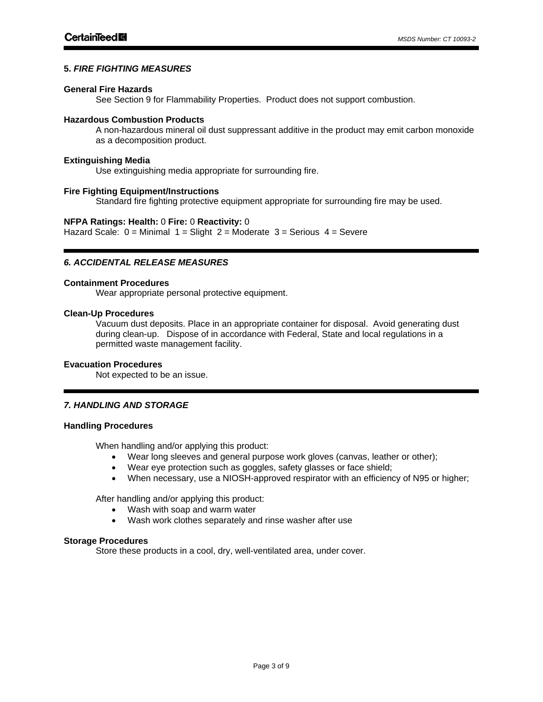# **5.** *FIRE FIGHTING MEASURES*

#### **General Fire Hazards**

See Section 9 for Flammability Properties. Product does not support combustion.

#### **Hazardous Combustion Products**

A non-hazardous mineral oil dust suppressant additive in the product may emit carbon monoxide as a decomposition product.

# **Extinguishing Media**

Use extinguishing media appropriate for surrounding fire.

#### **Fire Fighting Equipment/Instructions**

Standard fire fighting protective equipment appropriate for surrounding fire may be used.

#### **NFPA Ratings: Health:** 0 **Fire:** 0 **Reactivity:** 0

Hazard Scale:  $0 =$  Minimal  $1 =$  Slight  $2 =$  Moderate  $3 =$  Serious  $4 =$  Severe

# *6. ACCIDENTAL RELEASE MEASURES*

## **Containment Procedures**

Wear appropriate personal protective equipment.

#### **Clean-Up Procedures**

Vacuum dust deposits. Place in an appropriate container for disposal. Avoid generating dust during clean-up. Dispose of in accordance with Federal, State and local regulations in a permitted waste management facility.

## **Evacuation Procedures**

Not expected to be an issue.

# *7. HANDLING AND STORAGE*

## **Handling Procedures**

 $\overline{a}$ 

When handling and/or applying this product:

- Wear long sleeves and general purpose work gloves (canvas, leather or other);
- Wear eye protection such as goggles, safety glasses or face shield;
- When necessary, use a NIOSH-approved respirator with an efficiency of N95 or higher;

After handling and/or applying this product:

- Wash with soap and warm water
- Wash work clothes separately and rinse washer after use

#### **Storage Procedures**

Store these products in a cool, dry, well-ventilated area, under cover.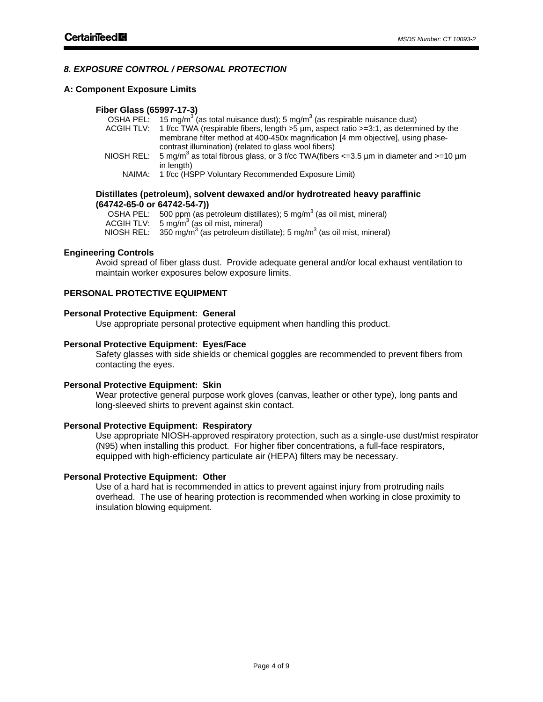# *8. EXPOSURE CONTROL / PERSONAL PROTECTION*

#### **A: Component Exposure Limits**

#### **Fiber Glass (65997-17-3)**

|            | OSHA PEL: 15 mg/m <sup>3</sup> (as total nuisance dust); 5 mg/m <sup>3</sup> (as respirable nuisance dust)    |
|------------|---------------------------------------------------------------------------------------------------------------|
| ACGIH TLV: | 1 f/cc TWA (respirable fibers, length >5 µm, aspect ratio >=3:1, as determined by the                         |
|            | membrane filter method at 400-450x magnification [4 mm objective], using phase-                               |
|            | contrast illumination) (related to glass wool fibers)                                                         |
|            | NIOSH REL: 5 mg/m <sup>3</sup> as total fibrous glass, or 3 f/cc TWA(fibers <= 3.5 µm in diameter and >=10 µm |
|            | in length)                                                                                                    |
| NAIMA:     | 1 f/cc (HSPP Voluntary Recommended Exposure Limit)                                                            |

#### **Distillates (petroleum), solvent dewaxed and/or hydrotreated heavy paraffinic (64742-65-0 or 64742-54-7))**

| OSHA PEL: 500 ppm (as petroleum distillates); 5 mg/m <sup>3</sup> (as oil mist, mineral)              |
|-------------------------------------------------------------------------------------------------------|
| ACGIH TLV: $5 \text{ mg/m}^3$ (as oil mist, mineral)                                                  |
| NIOSH REL: $350 \text{ mg/m}^3$ (as petroleum distillate); 5 mg/m <sup>3</sup> (as oil mist, mineral) |

#### **Engineering Controls**

Avoid spread of fiber glass dust. Provide adequate general and/or local exhaust ventilation to maintain worker exposures below exposure limits.

# **PERSONAL PROTECTIVE EQUIPMENT**

# **Personal Protective Equipment: General**

Use appropriate personal protective equipment when handling this product.

#### **Personal Protective Equipment: Eyes/Face**

Safety glasses with side shields or chemical goggles are recommended to prevent fibers from contacting the eyes.

#### **Personal Protective Equipment: Skin**

Wear protective general purpose work gloves (canvas, leather or other type), long pants and long-sleeved shirts to prevent against skin contact.

#### **Personal Protective Equipment: Respiratory**

Use appropriate NIOSH-approved respiratory protection, such as a single-use dust/mist respirator (N95) when installing this product. For higher fiber concentrations, a full-face respirators, equipped with high-efficiency particulate air (HEPA) filters may be necessary.

## **Personal Protective Equipment: Other**

Use of a hard hat is recommended in attics to prevent against injury from protruding nails overhead. The use of hearing protection is recommended when working in close proximity to insulation blowing equipment.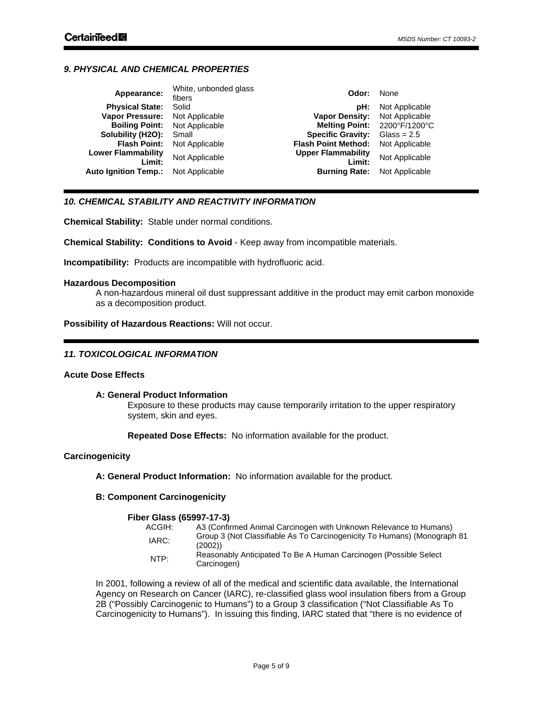# *9. PHYSICAL AND CHEMICAL PROPERTIES*

| Appearance:                         | White, unbonded glass<br>fibers | Odor:                               | None                         |
|-------------------------------------|---------------------------------|-------------------------------------|------------------------------|
| <b>Physical State:</b>              | Solid                           | pH:                                 | Not Applicable               |
| <b>Vapor Pressure:</b>              | Not Applicable                  | <b>Vapor Density:</b>               | Not Applicable               |
| <b>Boiling Point:</b>               | Not Applicable                  |                                     | Melting Point: 2200°F/1200°C |
| Solubility (H2O):                   | Small                           | <b>Specific Gravity:</b>            | Glass = $2.5$                |
| <b>Flash Point:</b>                 | Not Applicable                  | <b>Flash Point Method:</b>          | Not Applicable               |
| <b>Lower Flammability</b><br>Limit: | Not Applicable                  | <b>Upper Flammability</b><br>Limit: | Not Applicable               |
| <b>Auto Ignition Temp.:</b>         | Not Applicable                  | <b>Burning Rate:</b>                | Not Applicable               |
|                                     |                                 |                                     |                              |

# *10. CHEMICAL STABILITY AND REACTIVITY INFORMATION*

**Chemical Stability:** Stable under normal conditions.

**Chemical Stability: Conditions to Avoid** - Keep away from incompatible materials.

**Incompatibility:** Products are incompatible with hydrofluoric acid.

#### **Hazardous Decomposition**

A non-hazardous mineral oil dust suppressant additive in the product may emit carbon monoxide as a decomposition product.

**Possibility of Hazardous Reactions:** Will not occur.

## *11. TOXICOLOGICAL INFORMATION*

## **Acute Dose Effects**

## **A: General Product Information**

Exposure to these products may cause temporarily irritation to the upper respiratory system, skin and eyes.

**Repeated Dose Effects:** No information available for the product.

## **Carcinogenicity**

**A: General Product Information:** No information available for the product.

# **B: Component Carcinogenicity**

#### **Fiber Glass (65997-17-3)**

| ACGIH: | A3 (Confirmed Animal Carcinogen with Unknown Relevance to Humans)                  |
|--------|------------------------------------------------------------------------------------|
| IARC:  | Group 3 (Not Classifiable As To Carcinogenicity To Humans) (Monograph 81<br>(2002) |
| NTP:   | Reasonably Anticipated To Be A Human Carcinogen (Possible Select)<br>Carcinogen)   |

In 2001, following a review of all of the medical and scientific data available, the International Agency on Research on Cancer (IARC), re-classified glass wool insulation fibers from a Group 2B ("Possibly Carcinogenic to Humans") to a Group 3 classification ("Not Classifiable As To Carcinogenicity to Humans"). In issuing this finding, IARC stated that "there is no evidence of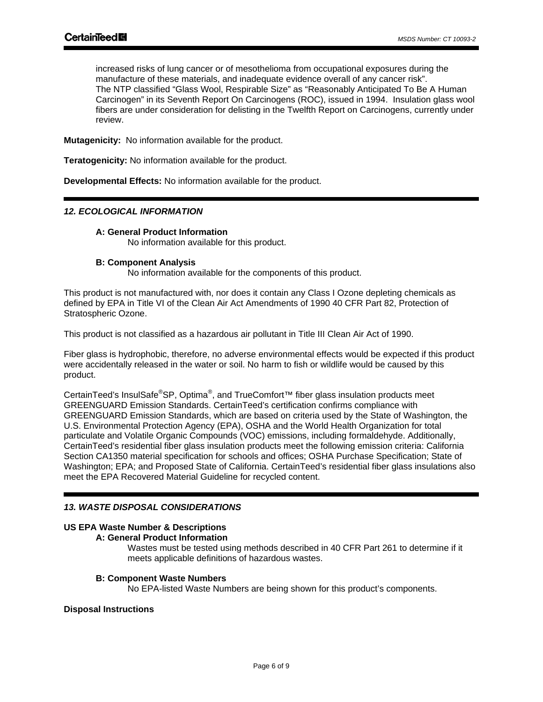increased risks of lung cancer or of mesothelioma from occupational exposures during the manufacture of these materials, and inadequate evidence overall of any cancer risk". The NTP classified "Glass Wool, Respirable Size" as "Reasonably Anticipated To Be A Human Carcinogen" in its Seventh Report On Carcinogens (ROC), issued in 1994. Insulation glass wool fibers are under consideration for delisting in the Twelfth Report on Carcinogens, currently under review.

**Mutagenicity:** No information available for the product.

**Teratogenicity:** No information available for the product.

**Developmental Effects:** No information available for the product.

# *12. ECOLOGICAL INFORMATION*

# **A: General Product Information**

No information available for this product.

## **B: Component Analysis**

No information available for the components of this product.

This product is not manufactured with, nor does it contain any Class I Ozone depleting chemicals as defined by EPA in Title VI of the Clean Air Act Amendments of 1990 40 CFR Part 82, Protection of Stratospheric Ozone.

This product is not classified as a hazardous air pollutant in Title III Clean Air Act of 1990.

Fiber glass is hydrophobic, therefore, no adverse environmental effects would be expected if this product were accidentally released in the water or soil. No harm to fish or wildlife would be caused by this product.

CertainTeed's InsulSafe<sup>®</sup>SP, Optima<sup>®</sup>, and TrueComfort<sup>™</sup> fiber glass insulation products meet GREENGUARD Emission Standards. CertainTeed's certification confirms compliance with GREENGUARD Emission Standards, which are based on criteria used by the State of Washington, the U.S. Environmental Protection Agency (EPA), OSHA and the World Health Organization for total particulate and Volatile Organic Compounds (VOC) emissions, including formaldehyde. Additionally, CertainTeed's residential fiber glass insulation products meet the following emission criteria: California Section CA1350 material specification for schools and offices; OSHA Purchase Specification; State of Washington; EPA; and Proposed State of California. CertainTeed's residential fiber glass insulations also meet the EPA Recovered Material Guideline for recycled content.

# *13. WASTE DISPOSAL CONSIDERATIONS*

# **US EPA Waste Number & Descriptions**

# **A: General Product Information**

Wastes must be tested using methods described in 40 CFR Part 261 to determine if it meets applicable definitions of hazardous wastes.

#### **B: Component Waste Numbers**

No EPA-listed Waste Numbers are being shown for this product's components.

#### **Disposal Instructions**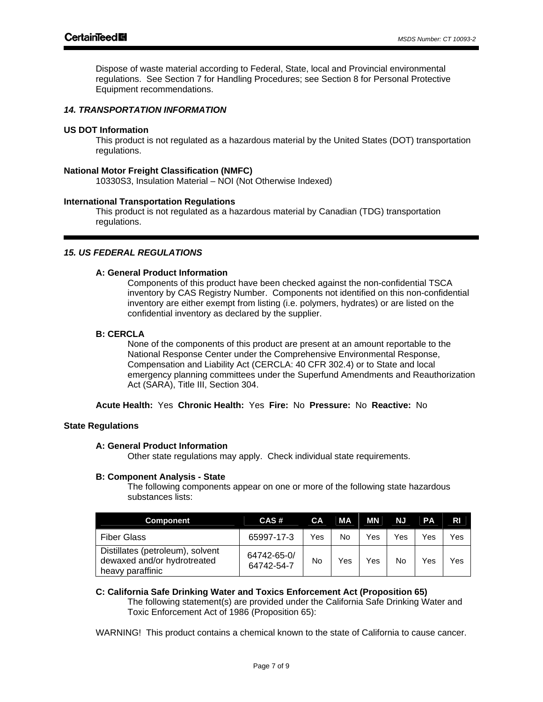Dispose of waste material according to Federal, State, local and Provincial environmental regulations. See Section 7 for Handling Procedures; see Section 8 for Personal Protective Equipment recommendations.

## *14. TRANSPORTATION INFORMATION*

#### **US DOT Information**

This product is not regulated as a hazardous material by the United States (DOT) transportation regulations.

#### **National Motor Freight Classification (NMFC)**

10330S3, Insulation Material – NOI (Not Otherwise Indexed)

#### **International Transportation Regulations**

This product is not regulated as a hazardous material by Canadian (TDG) transportation regulations.

#### *15. US FEDERAL REGULATIONS*

# **A: General Product Information**

Components of this product have been checked against the non-confidential TSCA inventory by CAS Registry Number. Components not identified on this non-confidential inventory are either exempt from listing (i.e. polymers, hydrates) or are listed on the confidential inventory as declared by the supplier.

#### **B: CERCLA**

None of the components of this product are present at an amount reportable to the National Response Center under the Comprehensive Environmental Response, Compensation and Liability Act (CERCLA: 40 CFR 302.4) or to State and local emergency planning committees under the Superfund Amendments and Reauthorization Act (SARA), Title III, Section 304.

**Acute Health:** Yes **Chronic Health:** Yes **Fire:** No **Pressure:** No **Reactive:** No

## **State Regulations**

## **A: General Product Information**

Other state regulations may apply. Check individual state requirements.

#### **B: Component Analysis - State**

The following components appear on one or more of the following state hazardous substances lists:

| <b>Component</b>                                                                    | CAS#                      | <b>CA</b> | MA  | MN  | NJ  | <b>PA</b> | <b>RI</b> |
|-------------------------------------------------------------------------------------|---------------------------|-----------|-----|-----|-----|-----------|-----------|
| <b>Fiber Glass</b>                                                                  | 65997-17-3                | Yes       | No  | Yes | Yes | Yes       | Yes       |
| Distillates (petroleum), solvent<br>dewaxed and/or hydrotreated<br>heavy paraffinic | 64742-65-0/<br>64742-54-7 | No        | Yes | Yes | No  | Yes       | Yes       |

## **C: California Safe Drinking Water and Toxics Enforcement Act (Proposition 65)**

The following statement(s) are provided under the California Safe Drinking Water and Toxic Enforcement Act of 1986 (Proposition 65):

WARNING! This product contains a chemical known to the state of California to cause cancer.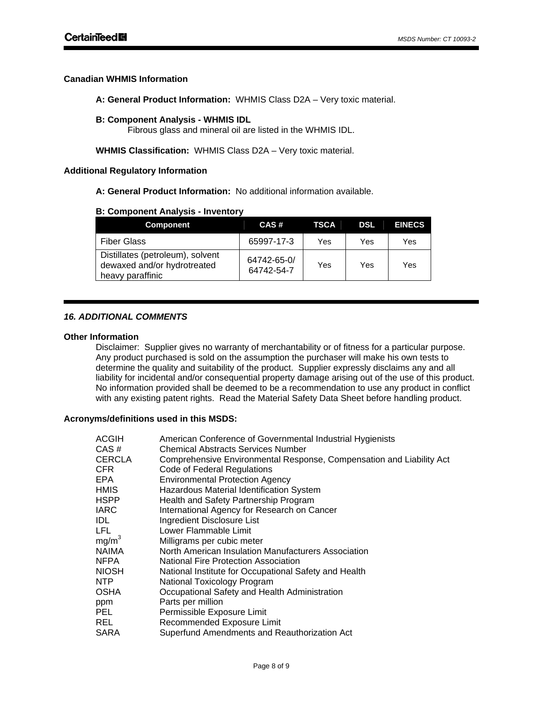# **Canadian WHMIS Information**

**A: General Product Information:** WHMIS Class D2A – Very toxic material.

# **B: Component Analysis - WHMIS IDL**

Fibrous glass and mineral oil are listed in the WHMIS IDL.

**WHMIS Classification:** WHMIS Class D2A – Very toxic material.

# **Additional Regulatory Information**

**A: General Product Information:** No additional information available.

# **B: Component Analysis - Inventory**

| <b>Component</b>                                                                    | CAS#                      | TSCA | <b>DSL</b> | <b>EINECS</b> |
|-------------------------------------------------------------------------------------|---------------------------|------|------------|---------------|
| <b>Fiber Glass</b>                                                                  | 65997-17-3                | Yes  | Yes        | Yes           |
| Distillates (petroleum), solvent<br>dewaxed and/or hydrotreated<br>heavy paraffinic | 64742-65-0/<br>64742-54-7 | Yes  | Yes        | Yes           |

# *16. ADDITIONAL COMMENTS*

## **Other Information**

Disclaimer: Supplier gives no warranty of merchantability or of fitness for a particular purpose. Any product purchased is sold on the assumption the purchaser will make his own tests to determine the quality and suitability of the product. Supplier expressly disclaims any and all liability for incidental and/or consequential property damage arising out of the use of this product. No information provided shall be deemed to be a recommendation to use any product in conflict with any existing patent rights. Read the Material Safety Data Sheet before handling product.

## **Acronyms/definitions used in this MSDS:**

| ACGIH     | American Conference of Governmental Industrial Hygienists            |
|-----------|----------------------------------------------------------------------|
| CAS#      | Chemical Abstracts Services Number                                   |
| CERCLA    | Comprehensive Environmental Response, Compensation and Liability Act |
| CFR       | Code of Federal Regulations                                          |
| EPA       | <b>Environmental Protection Agency</b>                               |
| HMIS      | Hazardous Material Identification System                             |
| HSPP      | Health and Safety Partnership Program                                |
| IARC      | International Agency for Research on Cancer                          |
| IDL       | Ingredient Disclosure List                                           |
| LFL       | Lower Flammable Limit                                                |
| mg/m $^3$ | Milligrams per cubic meter                                           |
| NAIMA     | North American Insulation Manufacturers Association                  |
| NFPA      | National Fire Protection Association                                 |
| NIOSH     | National Institute for Occupational Safety and Health                |
| NTP.      | National Toxicology Program                                          |
| OSHA      | Occupational Safety and Health Administration                        |
| ppm       | Parts per million                                                    |
| PEL       | Permissible Exposure Limit                                           |
| REL       | Recommended Exposure Limit                                           |
| SARA      | Superfund Amendments and Reauthorization Act                         |
|           |                                                                      |